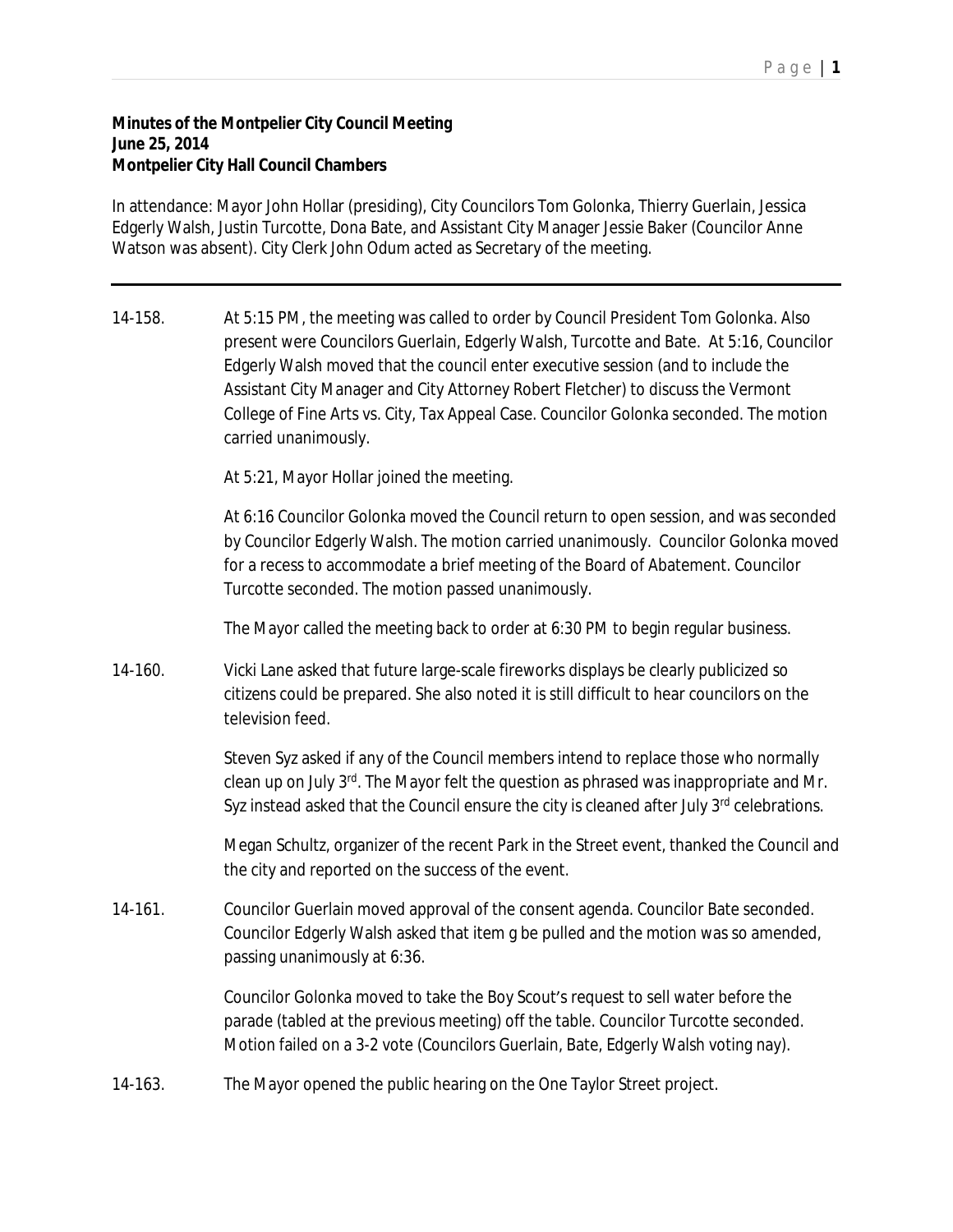## P a g e | **1**

## **Minutes of the Montpelier City Council Meeting June 25, 2014 Montpelier City Hall Council Chambers**

In attendance: Mayor John Hollar (presiding), City Councilors Tom Golonka, Thierry Guerlain, Jessica Edgerly Walsh, Justin Turcotte, Dona Bate, and Assistant City Manager Jessie Baker (Councilor Anne Watson was absent). City Clerk John Odum acted as Secretary of the meeting.

14-158. At 5:15 PM, the meeting was called to order by Council President Tom Golonka. Also present were Councilors Guerlain, Edgerly Walsh, Turcotte and Bate. At 5:16, Councilor Edgerly Walsh moved that the council enter executive session (and to include the Assistant City Manager and City Attorney Robert Fletcher) to discuss the Vermont College of Fine Arts vs. City, Tax Appeal Case. Councilor Golonka seconded. The motion carried unanimously.

At 5:21, Mayor Hollar joined the meeting.

At 6:16 Councilor Golonka moved the Council return to open session, and was seconded by Councilor Edgerly Walsh. The motion carried unanimously. Councilor Golonka moved for a recess to accommodate a brief meeting of the Board of Abatement. Councilor Turcotte seconded. The motion passed unanimously.

The Mayor called the meeting back to order at 6:30 PM to begin regular business.

14-160. Vicki Lane asked that future large-scale fireworks displays be clearly publicized so citizens could be prepared. She also noted it is still difficult to hear councilors on the television feed.

> Steven Syz asked if any of the Council members intend to replace those who normally clean up on July 3<sup>rd</sup>. The Mayor felt the question as phrased was inappropriate and Mr. Syz instead asked that the Council ensure the city is cleaned after July 3<sup>rd</sup> celebrations.

Megan Schultz, organizer of the recent Park in the Street event, thanked the Council and the city and reported on the success of the event.

14-161. Councilor Guerlain moved approval of the consent agenda. Councilor Bate seconded. Councilor Edgerly Walsh asked that item g be pulled and the motion was so amended, passing unanimously at 6:36.

> Councilor Golonka moved to take the Boy Scout's request to sell water before the parade (tabled at the previous meeting) off the table. Councilor Turcotte seconded. Motion failed on a 3-2 vote (Councilors Guerlain, Bate, Edgerly Walsh voting nay).

14-163. The Mayor opened the public hearing on the One Taylor Street project.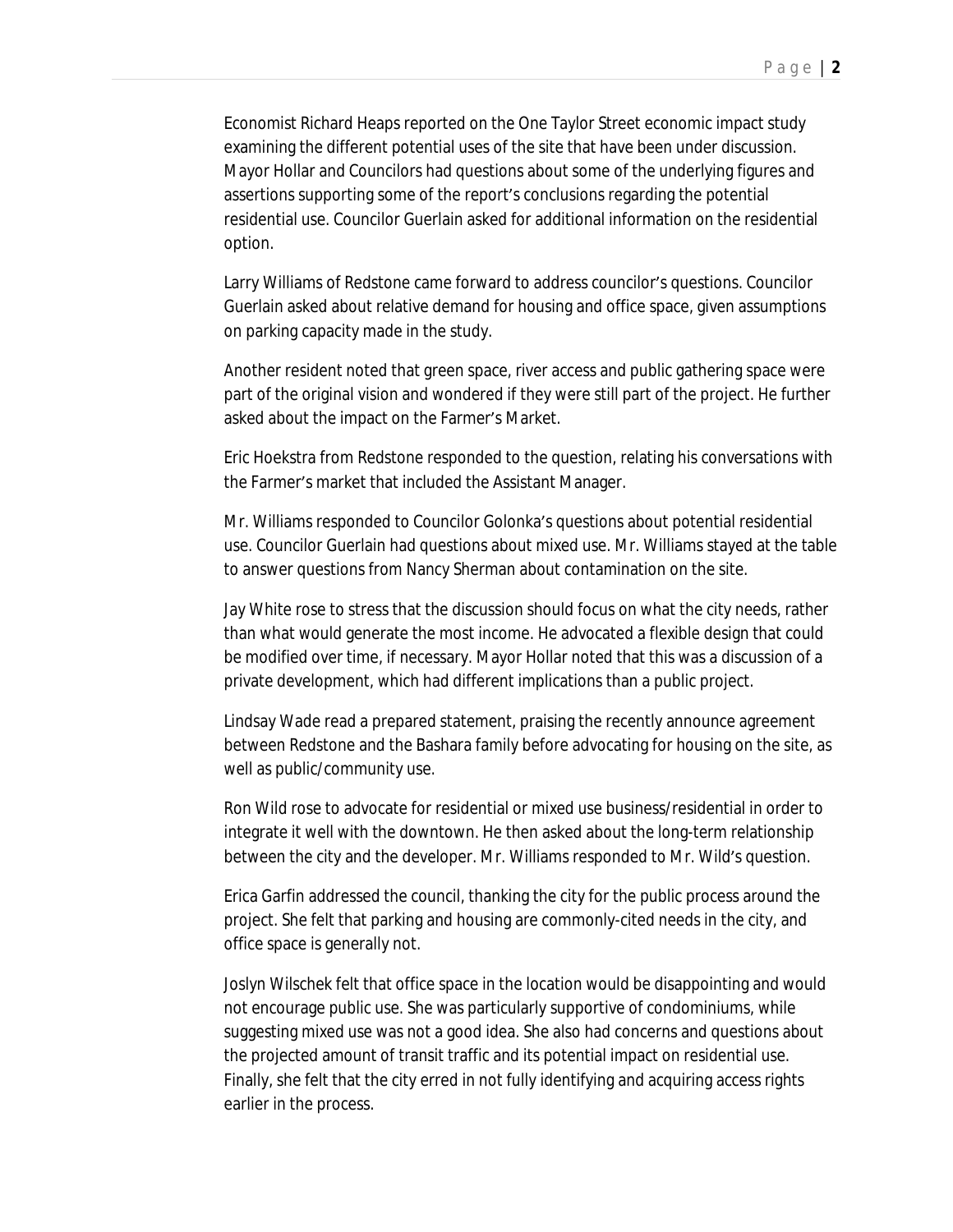Economist Richard Heaps reported on the One Taylor Street economic impact study examining the different potential uses of the site that have been under discussion. Mayor Hollar and Councilors had questions about some of the underlying figures and assertions supporting some of the report's conclusions regarding the potential residential use. Councilor Guerlain asked for additional information on the residential option.

Larry Williams of Redstone came forward to address councilor's questions. Councilor Guerlain asked about relative demand for housing and office space, given assumptions on parking capacity made in the study.

Another resident noted that green space, river access and public gathering space were part of the original vision and wondered if they were still part of the project. He further asked about the impact on the Farmer's Market.

Eric Hoekstra from Redstone responded to the question, relating his conversations with the Farmer's market that included the Assistant Manager.

Mr. Williams responded to Councilor Golonka's questions about potential residential use. Councilor Guerlain had questions about mixed use. Mr. Williams stayed at the table to answer questions from Nancy Sherman about contamination on the site.

Jay White rose to stress that the discussion should focus on what the city needs, rather than what would generate the most income. He advocated a flexible design that could be modified over time, if necessary. Mayor Hollar noted that this was a discussion of a private development, which had different implications than a public project.

Lindsay Wade read a prepared statement, praising the recently announce agreement between Redstone and the Bashara family before advocating for housing on the site, as well as public/community use.

Ron Wild rose to advocate for residential or mixed use business/residential in order to integrate it well with the downtown. He then asked about the long-term relationship between the city and the developer. Mr. Williams responded to Mr. Wild's question.

Erica Garfin addressed the council, thanking the city for the public process around the project. She felt that parking and housing are commonly-cited needs in the city, and office space is generally not.

Joslyn Wilschek felt that office space in the location would be disappointing and would not encourage public use. She was particularly supportive of condominiums, while suggesting mixed use was not a good idea. She also had concerns and questions about the projected amount of transit traffic and its potential impact on residential use. Finally, she felt that the city erred in not fully identifying and acquiring access rights earlier in the process.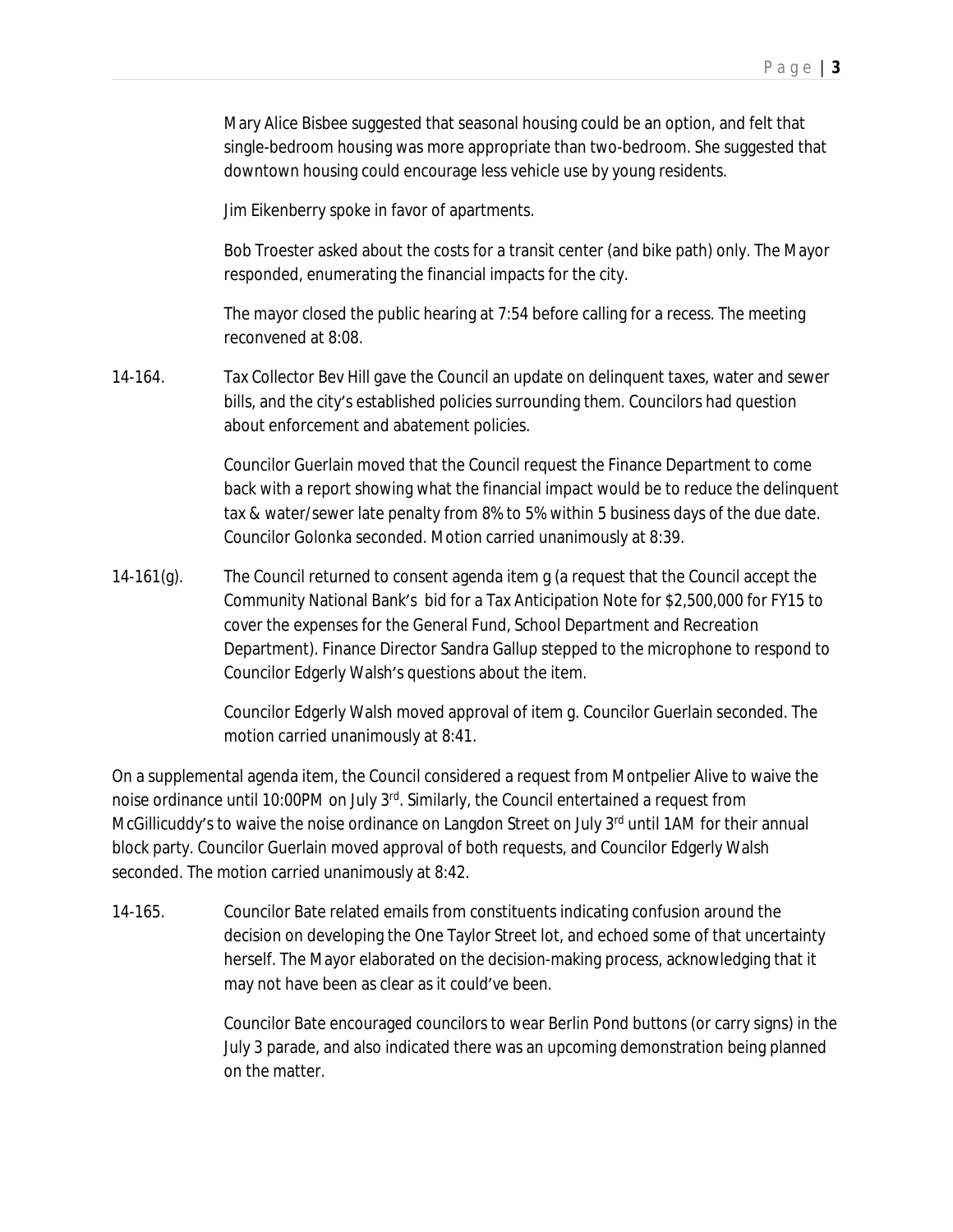Mary Alice Bisbee suggested that seasonal housing could be an option, and felt that single-bedroom housing was more appropriate than two-bedroom. She suggested that downtown housing could encourage less vehicle use by young residents.

Jim Eikenberry spoke in favor of apartments.

Bob Troester asked about the costs for a transit center (and bike path) only. The Mayor responded, enumerating the financial impacts for the city.

The mayor closed the public hearing at 7:54 before calling for a recess. The meeting reconvened at 8:08.

14-164. Tax Collector Bev Hill gave the Council an update on delinquent taxes, water and sewer bills, and the city's established policies surrounding them. Councilors had question about enforcement and abatement policies.

> Councilor Guerlain moved that the Council request the Finance Department to come back with a report showing what the financial impact would be to reduce the delinquent tax & water/sewer late penalty from 8% to 5% within 5 business days of the due date. Councilor Golonka seconded. Motion carried unanimously at 8:39.

14-161(g). The Council returned to consent agenda item g (a request that the Council accept the Community National Bank's bid for a Tax Anticipation Note for \$2,500,000 for FY15 to cover the expenses for the General Fund, School Department and Recreation Department). Finance Director Sandra Gallup stepped to the microphone to respond to Councilor Edgerly Walsh's questions about the item.

> Councilor Edgerly Walsh moved approval of item g. Councilor Guerlain seconded. The motion carried unanimously at 8:41.

On a supplemental agenda item, the Council considered a request from Montpelier Alive to waive the noise ordinance until 10:00PM on July 3<sup>rd</sup>. Similarly, the Council entertained a request from McGillicuddy's to waive the noise ordinance on Langdon Street on July 3<sup>rd</sup> until 1AM for their annual block party. Councilor Guerlain moved approval of both requests, and Councilor Edgerly Walsh seconded. The motion carried unanimously at 8:42.

14-165. Councilor Bate related emails from constituents indicating confusion around the decision on developing the One Taylor Street lot, and echoed some of that uncertainty herself. The Mayor elaborated on the decision-making process, acknowledging that it may not have been as clear as it could've been.

> Councilor Bate encouraged councilors to wear Berlin Pond buttons (or carry signs) in the July 3 parade, and also indicated there was an upcoming demonstration being planned on the matter.